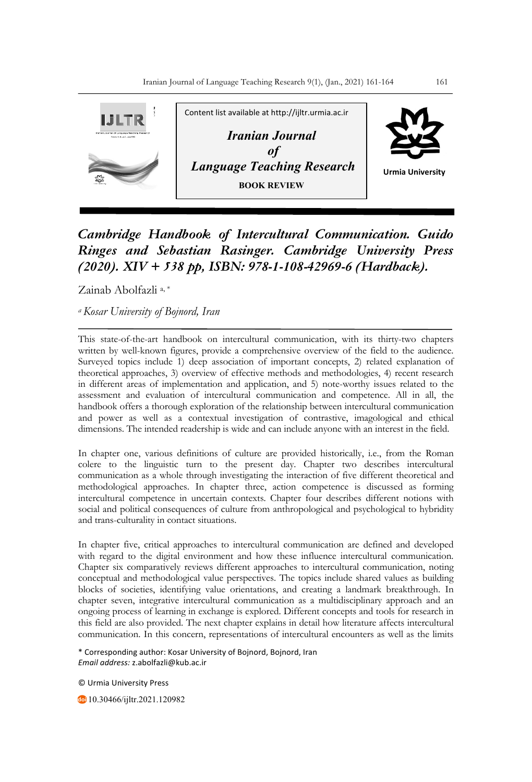

*Cambridge Handbook of Intercultural Communication. Guido Ringes and Sebastian Rasinger. Cambridge University Press (2020). XIV + 538 pp, ISBN: 978-1-108-42969-6 (Hardback).*

Zainab Abolfazli a, \*

*a Kosar University of Bojnord, Iran*

This state-of-the-art handbook on intercultural communication, with its thirty-two chapters written by well-known figures, provide a comprehensive overview of the field to the audience. Surveyed topics include 1) deep association of important concepts, 2) related explanation of theoretical approaches, 3) overview of effective methods and methodologies, 4) recent research in different areas of implementation and application, and 5) note-worthy issues related to the assessment and evaluation of intercultural communication and competence. All in all, the handbook offers a thorough exploration of the relationship between intercultural communication and power as well as a contextual investigation of contrastive, imagological and ethical dimensions. The intended readership is wide and can include anyone with an interest in the field.

In chapter one, various definitions of culture are provided historically, i.e., from the Roman colere to the linguistic turn to the present day. Chapter two describes intercultural communication as a whole through investigating the interaction of five different theoretical and methodological approaches. In chapter three, action competence is discussed as forming intercultural competence in uncertain contexts. Chapter four describes different notions with social and political consequences of culture from anthropological and psychological to hybridity and trans-culturality in contact situations.

In chapter five, critical approaches to intercultural communication are defined and developed with regard to the digital environment and how these influence intercultural communication. Chapter six comparatively reviews different approaches to intercultural communication, noting conceptual and methodological value perspectives. The topics include shared values as building blocks of societies, identifying value orientations, and creating a landmark breakthrough. In chapter seven, integrative intercultural communication as a multidisciplinary approach and an ongoing process of learning in exchange is explored. Different concepts and tools for research in this field are also provided. The next chapter explains in detail how literature affects intercultural communication. In this concern, representations of intercultural encounters as well as the limits

\* Corresponding author: Kosar University of Bojnord, Bojnord, Iran *Email address:* z.abolfazli@kub.ac.ir

© Urmia University Press

10.30466/ijltr.2021.120982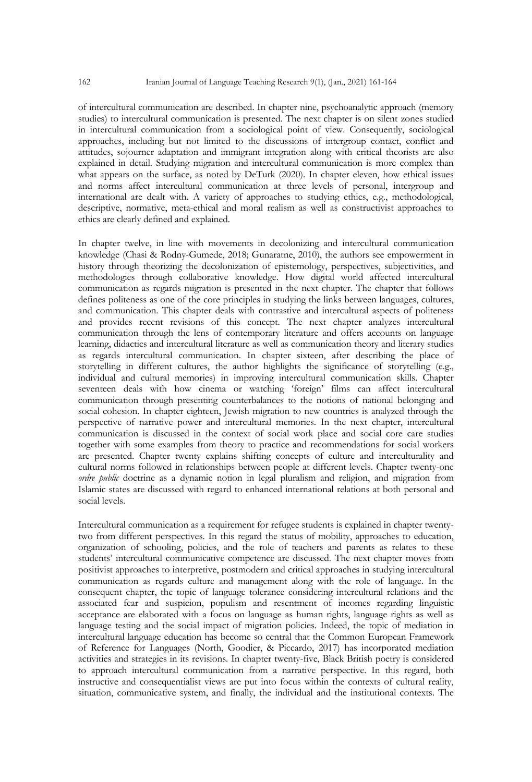of intercultural communication are described. In chapter nine, psychoanalytic approach (memory studies) to intercultural communication is presented. The next chapter is on silent zones studied in intercultural communication from a sociological point of view. Consequently, sociological approaches, including but not limited to the discussions of intergroup contact, conflict and attitudes, sojourner adaptation and immigrant integration along with critical theorists are also explained in detail. Studying migration and intercultural communication is more complex than what appears on the surface, as noted by DeTurk (2020). In chapter eleven, how ethical issues and norms affect intercultural communication at three levels of personal, intergroup and international are dealt with. A variety of approaches to studying ethics, e.g., methodological, descriptive, normative, meta-ethical and moral realism as well as constructivist approaches to ethics are clearly defined and explained.

In chapter twelve, in line with movements in decolonizing and intercultural communication knowledge (Chasi & Rodny-Gumede, 2018; Gunaratne, 2010), the authors see empowerment in history through theorizing the decolonization of epistemology, perspectives, subjectivities, and methodologies through collaborative knowledge. How digital world affected intercultural communication as regards migration is presented in the next chapter. The chapter that follows defines politeness as one of the core principles in studying the links between languages, cultures, and communication. This chapter deals with contrastive and intercultural aspects of politeness and provides recent revisions of this concept. The next chapter analyzes intercultural communication through the lens of contemporary literature and offers accounts on language learning, didactics and intercultural literature as well as communication theory and literary studies as regards intercultural communication. In chapter sixteen, after describing the place of storytelling in different cultures, the author highlights the significance of storytelling (e.g., individual and cultural memories) in improving intercultural communication skills. Chapter seventeen deals with how cinema or watching 'foreign' films can affect intercultural communication through presenting counterbalances to the notions of national belonging and social cohesion. In chapter eighteen, Jewish migration to new countries is analyzed through the perspective of narrative power and intercultural memories. In the next chapter, intercultural communication is discussed in the context of social work place and social core care studies together with some examples from theory to practice and recommendations for social workers are presented. Chapter twenty explains shifting concepts of culture and interculturality and cultural norms followed in relationships between people at different levels. Chapter twenty-one *ordre public* doctrine as a dynamic notion in legal pluralism and religion, and migration from Islamic states are discussed with regard to enhanced international relations at both personal and social levels.

Intercultural communication as a requirement for refugee students is explained in chapter twentytwo from different perspectives. In this regard the status of mobility, approaches to education, organization of schooling, policies, and the role of teachers and parents as relates to these students' intercultural communicative competence are discussed. The next chapter moves from positivist approaches to interpretive, postmodern and critical approaches in studying intercultural communication as regards culture and management along with the role of language. In the consequent chapter, the topic of language tolerance considering intercultural relations and the associated fear and suspicion, populism and resentment of incomes regarding linguistic acceptance are elaborated with a focus on language as human rights, language rights as well as language testing and the social impact of migration policies. Indeed, the topic of mediation in intercultural language education has become so central that the Common European Framework of Reference for Languages (North, Goodier, & Piccardo, 2017) has incorporated mediation activities and strategies in its revisions. In chapter twenty-five, Black British poetry is considered to approach intercultural communication from a narrative perspective. In this regard, both instructive and consequentialist views are put into focus within the contexts of cultural reality, situation, communicative system, and finally, the individual and the institutional contexts. The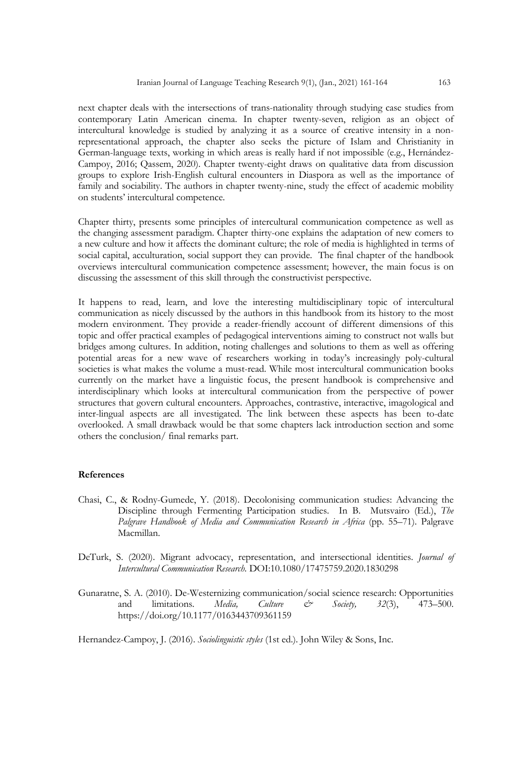next chapter deals with the intersections of trans-nationality through studying case studies from contemporary Latin American cinema. In chapter twenty-seven, religion as an object of intercultural knowledge is studied by analyzing it as a source of creative intensity in a nonrepresentational approach, the chapter also seeks the picture of Islam and Christianity in German-language texts, working in which areas is really hard if not impossible (e.g., Hernández-Campoy, 2016; Qassem, 2020). Chapter twenty-eight draws on qualitative data from discussion groups to explore Irish-English cultural encounters in Diaspora as well as the importance of family and sociability. The authors in chapter twenty-nine, study the effect of academic mobility on students' intercultural competence.

Chapter thirty, presents some principles of intercultural communication competence as well as the changing assessment paradigm. Chapter thirty-one explains the adaptation of new comers to a new culture and how it affects the dominant culture; the role of media is highlighted in terms of social capital, acculturation, social support they can provide. The final chapter of the handbook overviews intercultural communication competence assessment; however, the main focus is on discussing the assessment of this skill through the constructivist perspective.

It happens to read, learn, and love the interesting multidisciplinary topic of intercultural communication as nicely discussed by the authors in this handbook from its history to the most modern environment. They provide a reader-friendly account of different dimensions of this topic and offer practical examples of pedagogical interventions aiming to construct not walls but bridges among cultures. In addition, noting challenges and solutions to them as well as offering potential areas for a new wave of researchers working in today's increasingly poly-cultural societies is what makes the volume a must-read. While most intercultural communication books currently on the market have a linguistic focus, the present handbook is comprehensive and interdisciplinary which looks at intercultural communication from the perspective of power structures that govern cultural encounters. Approaches, contrastive, interactive, imagological and inter-lingual aspects are all investigated. The link between these aspects has been to-date overlooked. A small drawback would be that some chapters lack introduction section and some others the conclusion/ final remarks part.

## **References**

- Chasi, C., & Rodny-Gumede, Y. (2018). Decolonising communication studies: Advancing the Discipline through Fermenting Participation studies. In B. Mutsvairo (Ed.), *The*  Palgrave Handbook of Media and Communication Research in Africa (pp. 55–71). Palgrave Macmillan.
- DeTurk, S. (2020). Migrant advocacy, representation, and intersectional identities. *Journal of Intercultural Communication Research.* DOI:10.1080/17475759.2020.1830298
- Gunaratne, S. A. (2010). De-Westernizing communication/social science research: Opportunities and limitations. *Media, Culture & Society, 32*(3), 473–500. https://doi.org/10.1177/0163443709361159

Hernandez-Campoy, J. (2016). *Sociolinguistic styles* (1st ed.). John Wiley & Sons, Inc.